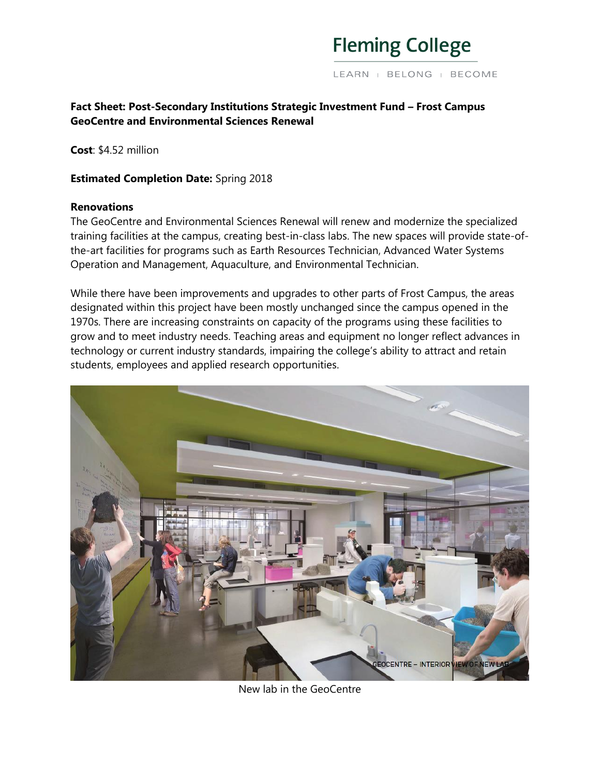

## **Fact Sheet: Post-Secondary Institutions Strategic Investment Fund – Frost Campus GeoCentre and Environmental Sciences Renewal**

**Cost**: \$4.52 million

### **Estimated Completion Date:** Spring 2018

#### **Renovations**

The GeoCentre and Environmental Sciences Renewal will renew and modernize the specialized training facilities at the campus, creating best-in-class labs. The new spaces will provide state-ofthe-art facilities for programs such as Earth Resources Technician, Advanced Water Systems Operation and Management, Aquaculture, and Environmental Technician.

While there have been improvements and upgrades to other parts of Frost Campus, the areas designated within this project have been mostly unchanged since the campus opened in the 1970s. There are increasing constraints on capacity of the programs using these facilities to grow and to meet industry needs. Teaching areas and equipment no longer reflect advances in technology or current industry standards, impairing the college's ability to attract and retain students, employees and applied research opportunities.



New lab in the GeoCentre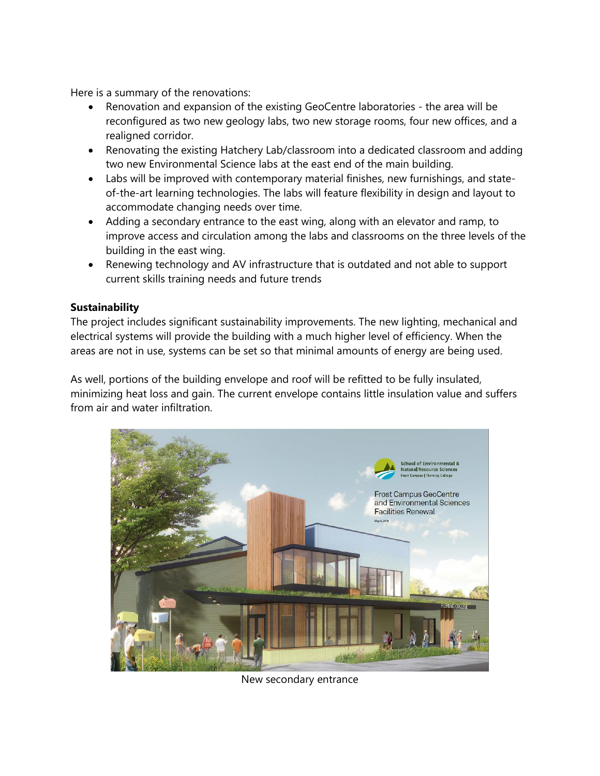Here is a summary of the renovations:

- Renovation and expansion of the existing GeoCentre laboratories the area will be reconfigured as two new geology labs, two new storage rooms, four new offices, and a realigned corridor.
- Renovating the existing Hatchery Lab/classroom into a dedicated classroom and adding two new Environmental Science labs at the east end of the main building.
- Labs will be improved with contemporary material finishes, new furnishings, and stateof-the-art learning technologies. The labs will feature flexibility in design and layout to accommodate changing needs over time.
- Adding a secondary entrance to the east wing, along with an elevator and ramp, to improve access and circulation among the labs and classrooms on the three levels of the building in the east wing.
- Renewing technology and AV infrastructure that is outdated and not able to support current skills training needs and future trends

# **Sustainability**

The project includes significant sustainability improvements. The new lighting, mechanical and electrical systems will provide the building with a much higher level of efficiency. When the areas are not in use, systems can be set so that minimal amounts of energy are being used.

As well, portions of the building envelope and roof will be refitted to be fully insulated, minimizing heat loss and gain. The current envelope contains little insulation value and suffers from air and water infiltration.



New secondary entrance